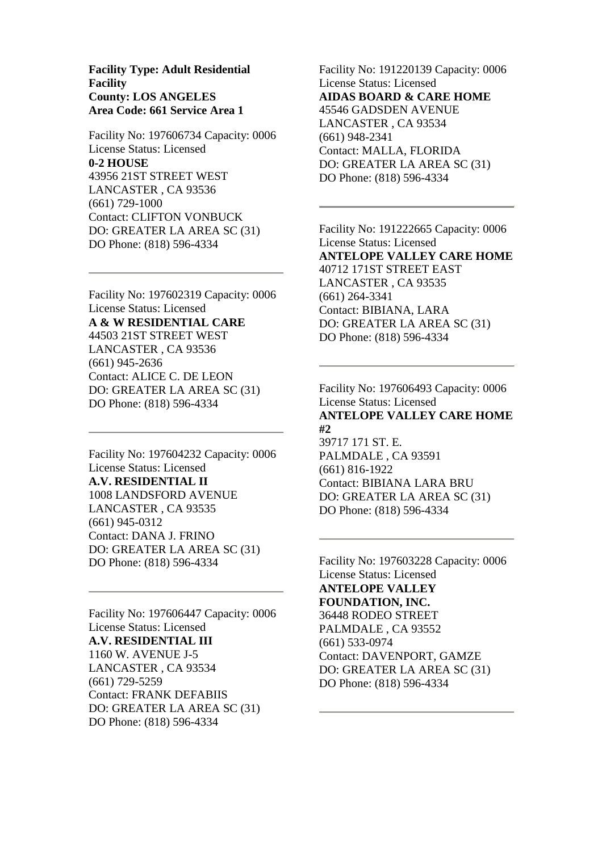**Facility Type: Adult Residential Facility County: LOS ANGELES Area Code: 661 Service Area 1**

Facility No: 197606734 Capacity: 0006 License Status: Licensed **0-2 HOUSE** 43956 21ST STREET WEST LANCASTER , CA 93536 (661) 729-1000 Contact: CLIFTON VONBUCK DO: GREATER LA AREA SC (31) DO Phone: (818) 596-4334

Facility No: 197602319 Capacity: 0006 License Status: Licensed **A & W RESIDENTIAL CARE** 44503 21ST STREET WEST LANCASTER , CA 93536 (661) 945-2636 Contact: ALICE C. DE LEON DO: GREATER LA AREA SC (31) DO Phone: (818) 596-4334

Facility No: 197604232 Capacity: 0006 License Status: Licensed **A.V. RESIDENTIAL II** 1008 LANDSFORD AVENUE LANCASTER , CA 93535 (661) 945-0312 Contact: DANA J. FRINO DO: GREATER LA AREA SC (31) DO Phone: (818) 596-4334

Facility No: 197606447 Capacity: 0006 License Status: Licensed **A.V. RESIDENTIAL III** 1160 W. AVENUE J-5 LANCASTER , CA 93534 (661) 729-5259 Contact: FRANK DEFABIIS DO: GREATER LA AREA SC (31) DO Phone: (818) 596-4334

Facility No: 191220139 Capacity: 0006 License Status: Licensed **AIDAS BOARD & CARE HOME** 45546 GADSDEN AVENUE LANCASTER , CA 93534 (661) 948-2341 Contact: MALLA, FLORIDA DO: GREATER LA AREA SC (31) DO Phone: (818) 596-4334

Facility No: 191222665 Capacity: 0006 License Status: Licensed **ANTELOPE VALLEY CARE HOME** 40712 171ST STREET EAST LANCASTER , CA 93535 (661) 264-3341 Contact: BIBIANA, LARA DO: GREATER LA AREA SC (31) DO Phone: (818) 596-4334

Facility No: 197606493 Capacity: 0006 License Status: Licensed **ANTELOPE VALLEY CARE HOME #2** 39717 171 ST. E. PALMDALE , CA 93591 (661) 816-1922 Contact: BIBIANA LARA BRU DO: GREATER LA AREA SC (31) DO Phone: (818) 596-4334

Facility No: 197603228 Capacity: 0006 License Status: Licensed **ANTELOPE VALLEY FOUNDATION, INC.** 36448 RODEO STREET PALMDALE , CA 93552 (661) 533-0974 Contact: DAVENPORT, GAMZE DO: GREATER LA AREA SC (31) DO Phone: (818) 596-4334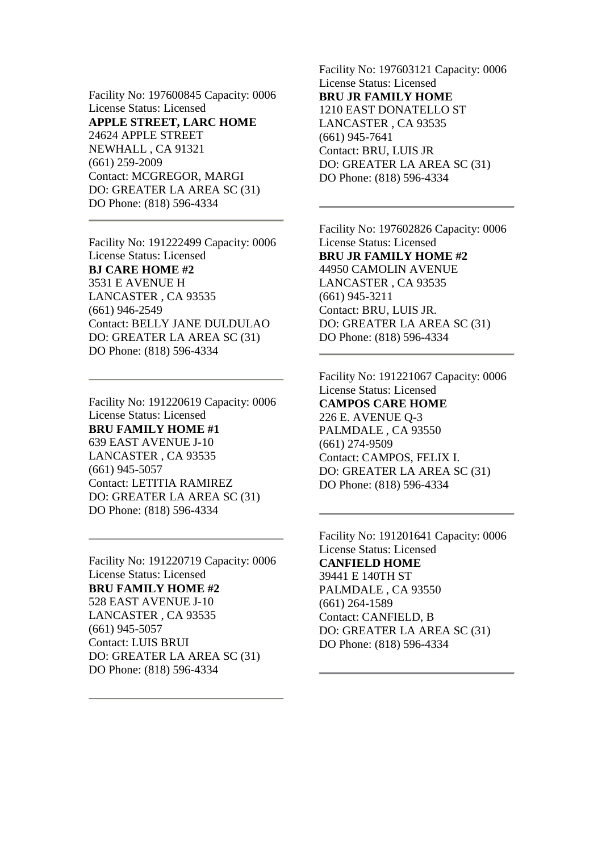Facility No: 197600845 Capacity: 0006 License Status: Licensed **APPLE STREET, LARC HOME** 24624 APPLE STREET NEWHALL , CA 91321 (661) 259-2009 Contact: MCGREGOR, MARGI DO: GREATER LA AREA SC (31) DO Phone: (818) 596-4334

Facility No: 191222499 Capacity: 0006 License Status: Licensed **BJ CARE HOME #2** 3531 E AVENUE H LANCASTER , CA 93535 (661) 946-2549 Contact: BELLY JANE DULDULAO DO: GREATER LA AREA SC (31) DO Phone: (818) 596-4334

Facility No: 191220619 Capacity: 0006 License Status: Licensed **BRU FAMILY HOME #1** 639 EAST AVENUE J-10 LANCASTER , CA 93535 (661) 945-5057 Contact: LETITIA RAMIREZ DO: GREATER LA AREA SC (31) DO Phone: (818) 596-4334

Facility No: 191220719 Capacity: 0006 License Status: Licensed **BRU FAMILY HOME #2** 528 EAST AVENUE J-10 LANCASTER , CA 93535 (661) 945-5057 Contact: LUIS BRUI DO: GREATER LA AREA SC (31) DO Phone: (818) 596-4334

Facility No: 197603121 Capacity: 0006 License Status: Licensed **BRU JR FAMILY HOME** 1210 EAST DONATELLO ST LANCASTER , CA 93535 (661) 945-7641 Contact: BRU, LUIS JR DO: GREATER LA AREA SC (31) DO Phone: (818) 596-4334

Facility No: 197602826 Capacity: 0006 License Status: Licensed **BRU JR FAMILY HOME #2** 44950 CAMOLIN AVENUE LANCASTER , CA 93535 (661) 945-3211 Contact: BRU, LUIS JR. DO: GREATER LA AREA SC (31) DO Phone: (818) 596-4334

Facility No: 191221067 Capacity: 0006 License Status: Licensed **CAMPOS CARE HOME** 226 E. AVENUE Q-3 PALMDALE , CA 93550 (661) 274-9509 Contact: CAMPOS, FELIX I. DO: GREATER LA AREA SC (31) DO Phone: (818) 596-4334

Facility No: 191201641 Capacity: 0006 License Status: Licensed **CANFIELD HOME** 39441 E 140TH ST PALMDALE , CA 93550 (661) 264-1589 Contact: CANFIELD, B DO: GREATER LA AREA SC (31) DO Phone: (818) 596-4334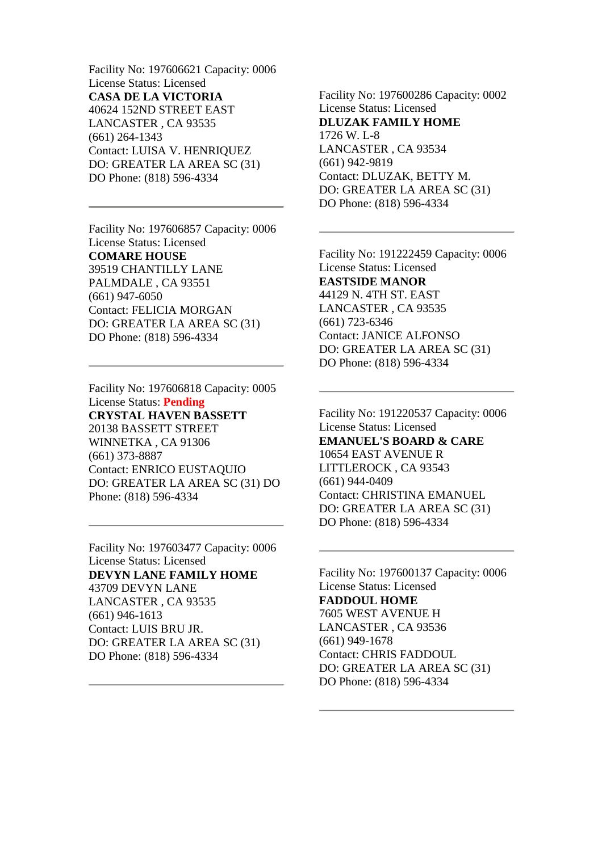Facility No: 197606621 Capacity: 0006 License Status: Licensed **CASA DE LA VICTORIA** 40624 152ND STREET EAST LANCASTER , CA 93535 (661) 264-1343 Contact: LUISA V. HENRIQUEZ DO: GREATER LA AREA SC (31) DO Phone: (818) 596-4334

Facility No: 197606857 Capacity: 0006 License Status: Licensed **COMARE HOUSE** 39519 CHANTILLY LANE PALMDALE , CA 93551 (661) 947-6050 Contact: FELICIA MORGAN DO: GREATER LA AREA SC (31) DO Phone: (818) 596-4334

Facility No: 197606818 Capacity: 0005 License Status: **Pending CRYSTAL HAVEN BASSETT** 20138 BASSETT STREET WINNETKA , CA 91306 (661) 373-8887 Contact: ENRICO EUSTAQUIO DO: GREATER LA AREA SC (31) DO Phone: (818) 596-4334

Facility No: 197603477 Capacity: 0006 License Status: Licensed **DEVYN LANE FAMILY HOME** 43709 DEVYN LANE LANCASTER , CA 93535 (661) 946-1613 Contact: LUIS BRU JR. DO: GREATER LA AREA SC (31) DO Phone: (818) 596-4334

Facility No: 197600286 Capacity: 0002 License Status: Licensed **DLUZAK FAMILY HOME** 1726 W. L-8 LANCASTER , CA 93534 (661) 942-9819 Contact: DLUZAK, BETTY M. DO: GREATER LA AREA SC (31) DO Phone: (818) 596-4334

Facility No: 191222459 Capacity: 0006 License Status: Licensed **EASTSIDE MANOR** 44129 N. 4TH ST. EAST LANCASTER , CA 93535 (661) 723-6346 Contact: JANICE ALFONSO DO: GREATER LA AREA SC (31) DO Phone: (818) 596-4334

Facility No: 191220537 Capacity: 0006 License Status: Licensed **EMANUEL'S BOARD & CARE** 10654 EAST AVENUE R LITTLEROCK , CA 93543 (661) 944-0409 Contact: CHRISTINA EMANUEL DO: GREATER LA AREA SC (31) DO Phone: (818) 596-4334

Facility No: 197600137 Capacity: 0006 License Status: Licensed **FADDOUL HOME** 7605 WEST AVENUE H LANCASTER , CA 93536 (661) 949-1678 Contact: CHRIS FADDOUL DO: GREATER LA AREA SC (31) DO Phone: (818) 596-4334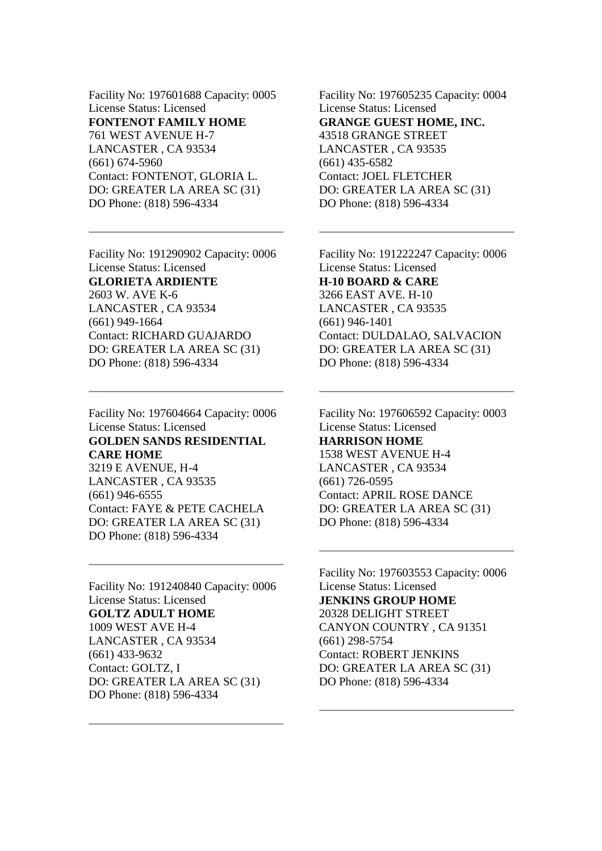Facility No: 197601688 Capacity: 0005 License Status: Licensed **FONTENOT FAMILY HOME** 761 WEST AVENUE H-7 LANCASTER , CA 93534 (661) 674-5960 Contact: FONTENOT, GLORIA L. DO: GREATER LA AREA SC (31) DO Phone: (818) 596-4334

Facility No: 191290902 Capacity: 0006 License Status: Licensed **GLORIETA ARDIENTE** 2603 W. AVE K-6 LANCASTER , CA 93534 (661) 949-1664 Contact: RICHARD GUAJARDO DO: GREATER LA AREA SC (31) DO Phone: (818) 596-4334

Facility No: 197604664 Capacity: 0006 License Status: Licensed **GOLDEN SANDS RESIDENTIAL CARE HOME** 3219 E AVENUE, H-4 LANCASTER , CA 93535

(661) 946-6555 Contact: FAYE & PETE CACHELA DO: GREATER LA AREA SC (31) DO Phone: (818) 596-4334

Facility No: 191240840 Capacity: 0006 License Status: Licensed **GOLTZ ADULT HOME** 1009 WEST AVE H-4 LANCASTER , CA 93534 (661) 433-9632 Contact: GOLTZ, I DO: GREATER LA AREA SC (31) DO Phone: (818) 596-4334

Facility No: 197605235 Capacity: 0004 License Status: Licensed **GRANGE GUEST HOME, INC.** 43518 GRANGE STREET LANCASTER , CA 93535 (661) 435-6582 Contact: JOEL FLETCHER DO: GREATER LA AREA SC (31) DO Phone: (818) 596-4334

Facility No: 191222247 Capacity: 0006 License Status: Licensed **H-10 BOARD & CARE** 3266 EAST AVE. H-10 LANCASTER , CA 93535 (661) 946-1401 Contact: DULDALAO, SALVACION DO: GREATER LA AREA SC (31) DO Phone: (818) 596-4334

Facility No: 197606592 Capacity: 0003 License Status: Licensed **HARRISON HOME** 1538 WEST AVENUE H-4 LANCASTER , CA 93534 (661) 726-0595 Contact: APRIL ROSE DANCE DO: GREATER LA AREA SC (31) DO Phone: (818) 596-4334

Facility No: 197603553 Capacity: 0006 License Status: Licensed **JENKINS GROUP HOME** 20328 DELIGHT STREET CANYON COUNTRY , CA 91351 (661) 298-5754 Contact: ROBERT JENKINS DO: GREATER LA AREA SC (31) DO Phone: (818) 596-4334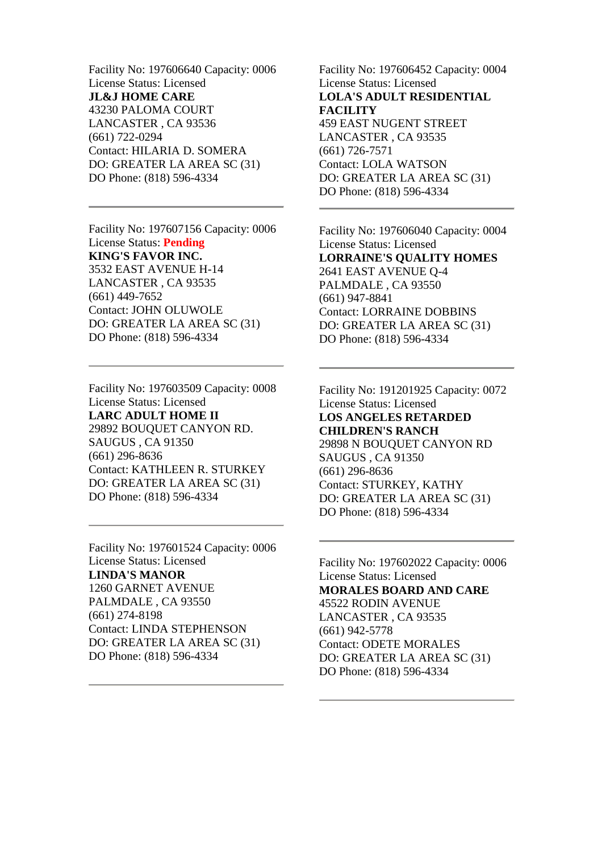Facility No: 197606640 Capacity: 0006 License Status: Licensed **JL&J HOME CARE** 43230 PALOMA COURT LANCASTER , CA 93536 (661) 722-0294 Contact: HILARIA D. SOMERA DO: GREATER LA AREA SC (31) DO Phone: (818) 596-4334

Facility No: 197607156 Capacity: 0006 License Status: **Pending KING'S FAVOR INC.** 3532 EAST AVENUE H-14 LANCASTER , CA 93535 (661) 449-7652 Contact: JOHN OLUWOLE DO: GREATER LA AREA SC (31) DO Phone: (818) 596-4334

Facility No: 197603509 Capacity: 0008 License Status: Licensed **LARC ADULT HOME II** 29892 BOUQUET CANYON RD. SAUGUS , CA 91350 (661) 296-8636 Contact: KATHLEEN R. STURKEY DO: GREATER LA AREA SC (31) DO Phone: (818) 596-4334

Facility No: 197601524 Capacity: 0006 License Status: Licensed **LINDA'S MANOR** 1260 GARNET AVENUE PALMDALE , CA 93550 (661) 274-8198 Contact: LINDA STEPHENSON DO: GREATER LA AREA SC (31) DO Phone: (818) 596-4334

Facility No: 197606452 Capacity: 0004 License Status: Licensed **LOLA'S ADULT RESIDENTIAL FACILITY** 459 EAST NUGENT STREET LANCASTER , CA 93535 (661) 726-7571 Contact: LOLA WATSON DO: GREATER LA AREA SC (31) DO Phone: (818) 596-4334

Facility No: 197606040 Capacity: 0004 License Status: Licensed **LORRAINE'S QUALITY HOMES** 2641 EAST AVENUE Q-4 PALMDALE , CA 93550 (661) 947-8841 Contact: LORRAINE DOBBINS DO: GREATER LA AREA SC (31) DO Phone: (818) 596-4334

Facility No: 191201925 Capacity: 0072 License Status: Licensed **LOS ANGELES RETARDED CHILDREN'S RANCH** 29898 N BOUQUET CANYON RD SAUGUS , CA 91350 (661) 296-8636 Contact: STURKEY, KATHY DO: GREATER LA AREA SC (31) DO Phone: (818) 596-4334

Facility No: 197602022 Capacity: 0006 License Status: Licensed **MORALES BOARD AND CARE** 45522 RODIN AVENUE LANCASTER , CA 93535 (661) 942-5778 Contact: ODETE MORALES DO: GREATER LA AREA SC (31) DO Phone: (818) 596-4334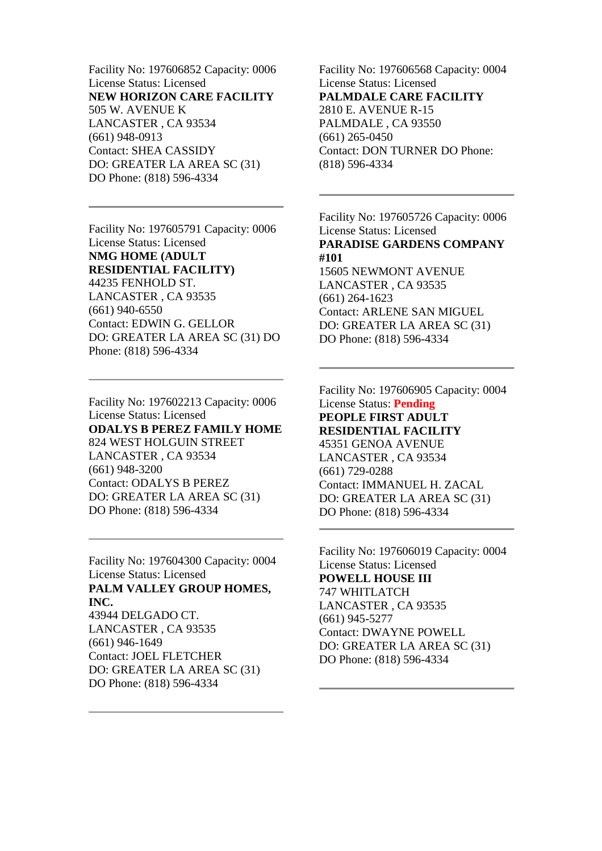Facility No: 197606852 Capacity: 0006 License Status: Licensed **NEW HORIZON CARE FACILITY** 505 W. AVENUE K LANCASTER , CA 93534 (661) 948-0913 Contact: SHEA CASSIDY DO: GREATER LA AREA SC (31) DO Phone: (818) 596-4334

Facility No: 197605791 Capacity: 0006 License Status: Licensed **NMG HOME (ADULT RESIDENTIAL FACILITY)** 44235 FENHOLD ST. LANCASTER , CA 93535 (661) 940-6550 Contact: EDWIN G. GELLOR DO: GREATER LA AREA SC (31) DO Phone: (818) 596-4334

Facility No: 197602213 Capacity: 0006 License Status: Licensed **ODALYS B PEREZ FAMILY HOME** 824 WEST HOLGUIN STREET LANCASTER , CA 93534 (661) 948-3200 Contact: ODALYS B PEREZ DO: GREATER LA AREA SC (31) DO Phone: (818) 596-4334

Facility No: 197604300 Capacity: 0004 License Status: Licensed **PALM VALLEY GROUP HOMES, INC.**

43944 DELGADO CT. LANCASTER , CA 93535 (661) 946-1649 Contact: JOEL FLETCHER DO: GREATER LA AREA SC (31) DO Phone: (818) 596-4334

Facility No: 197606568 Capacity: 0004 License Status: Licensed **PALMDALE CARE FACILITY** 2810 E. AVENUE R-15 PALMDALE , CA 93550 (661) 265-0450 Contact: DON TURNER DO Phone: (818) 596-4334

Facility No: 197605726 Capacity: 0006 License Status: Licensed **PARADISE GARDENS COMPANY #101** 15605 NEWMONT AVENUE LANCASTER , CA 93535 (661) 264-1623 Contact: ARLENE SAN MIGUEL DO: GREATER LA AREA SC (31) DO Phone: (818) 596-4334

Facility No: 197606905 Capacity: 0004 License Status: **Pending PEOPLE FIRST ADULT RESIDENTIAL FACILITY** 45351 GENOA AVENUE LANCASTER , CA 93534 (661) 729-0288 Contact: IMMANUEL H. ZACAL DO: GREATER LA AREA SC (31) DO Phone: (818) 596-4334

Facility No: 197606019 Capacity: 0004 License Status: Licensed **POWELL HOUSE III** 747 WHITLATCH LANCASTER , CA 93535 (661) 945-5277 Contact: DWAYNE POWELL DO: GREATER LA AREA SC (31) DO Phone: (818) 596-4334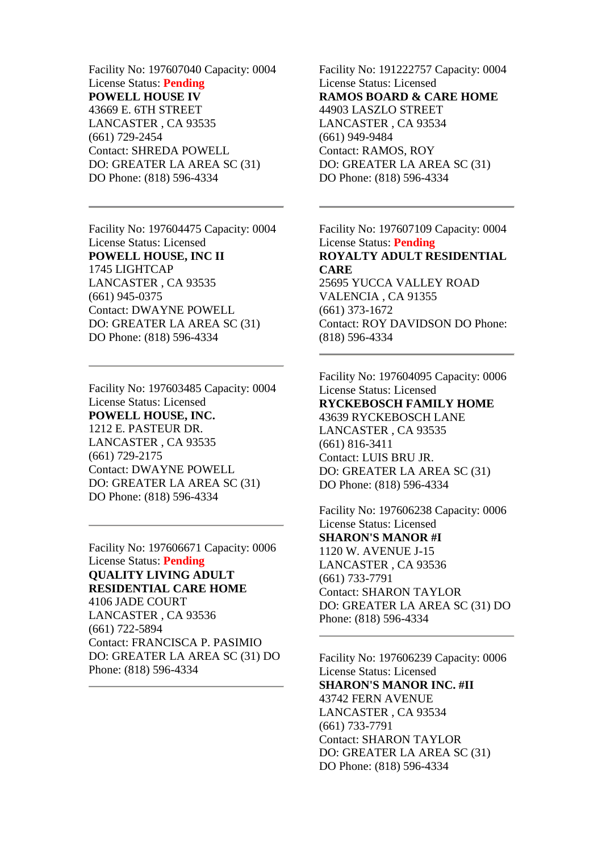Facility No: 197607040 Capacity: 0004 License Status: **Pending POWELL HOUSE IV** 43669 E. 6TH STREET LANCASTER , CA 93535 (661) 729-2454 Contact: SHREDA POWELL DO: GREATER LA AREA SC (31) DO Phone: (818) 596-4334

Facility No: 197604475 Capacity: 0004 License Status: Licensed **POWELL HOUSE, INC II** 1745 LIGHTCAP LANCASTER , CA 93535 (661) 945-0375 Contact: DWAYNE POWELL DO: GREATER LA AREA SC (31) DO Phone: (818) 596-4334

Facility No: 197603485 Capacity: 0004 License Status: Licensed **POWELL HOUSE, INC.** 1212 E. PASTEUR DR. LANCASTER , CA 93535 (661) 729-2175 Contact: DWAYNE POWELL DO: GREATER LA AREA SC (31) DO Phone: (818) 596-4334

Facility No: 197606671 Capacity: 0006 License Status: **Pending QUALITY LIVING ADULT RESIDENTIAL CARE HOME** 4106 JADE COURT LANCASTER , CA 93536 (661) 722-5894 Contact: FRANCISCA P. PASIMIO DO: GREATER LA AREA SC (31) DO Phone: (818) 596-4334

Facility No: 191222757 Capacity: 0004 License Status: Licensed **RAMOS BOARD & CARE HOME** 44903 LASZLO STREET LANCASTER , CA 93534 (661) 949-9484 Contact: RAMOS, ROY DO: GREATER LA AREA SC (31) DO Phone: (818) 596-4334

Facility No: 197607109 Capacity: 0004 License Status: **Pending ROYALTY ADULT RESIDENTIAL CARE** 25695 YUCCA VALLEY ROAD

VALENCIA , CA 91355 (661) 373-1672 Contact: ROY DAVIDSON DO Phone: (818) 596-4334

Facility No: 197604095 Capacity: 0006 License Status: Licensed **RYCKEBOSCH FAMILY HOME** 43639 RYCKEBOSCH LANE LANCASTER , CA 93535 (661) 816-3411 Contact: LUIS BRU JR. DO: GREATER LA AREA SC (31) DO Phone: (818) 596-4334

Facility No: 197606238 Capacity: 0006 License Status: Licensed **SHARON'S MANOR #I** 1120 W. AVENUE J-15 LANCASTER , CA 93536 (661) 733-7791 Contact: SHARON TAYLOR DO: GREATER LA AREA SC (31) DO Phone: (818) 596-4334

Facility No: 197606239 Capacity: 0006 License Status: Licensed **SHARON'S MANOR INC. #II** 43742 FERN AVENUE LANCASTER , CA 93534 (661) 733-7791 Contact: SHARON TAYLOR DO: GREATER LA AREA SC (31) DO Phone: (818) 596-4334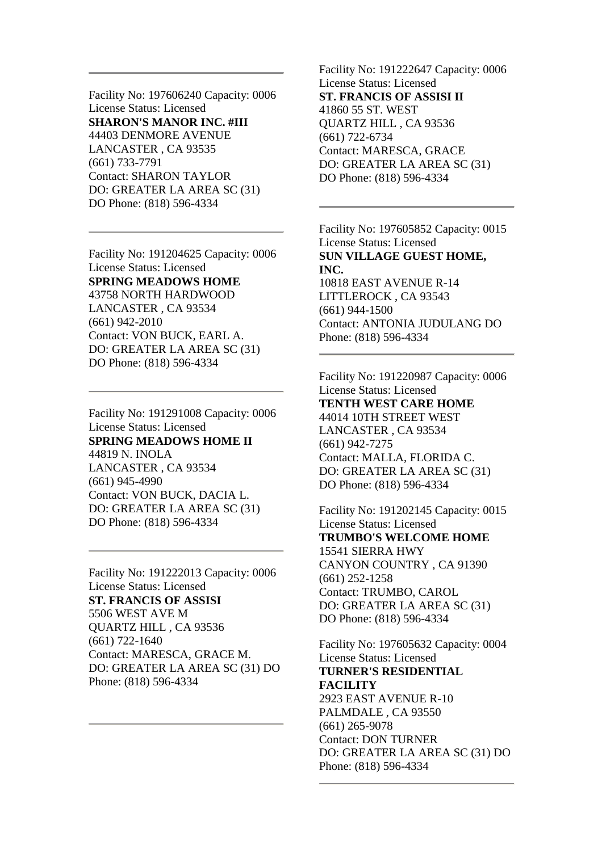Facility No: 197606240 Capacity: 0006 License Status: Licensed **SHARON'S MANOR INC. #III** 44403 DENMORE AVENUE LANCASTER , CA 93535 (661) 733-7791 Contact: SHARON TAYLOR DO: GREATER LA AREA SC (31) DO Phone: (818) 596-4334

Facility No: 191204625 Capacity: 0006 License Status: Licensed **SPRING MEADOWS HOME** 43758 NORTH HARDWOOD LANCASTER , CA 93534 (661) 942-2010 Contact: VON BUCK, EARL A. DO: GREATER LA AREA SC (31) DO Phone: (818) 596-4334

Facility No: 191291008 Capacity: 0006 License Status: Licensed **SPRING MEADOWS HOME II** 44819 N. INOLA LANCASTER , CA 93534 (661) 945-4990 Contact: VON BUCK, DACIA L. DO: GREATER LA AREA SC (31) DO Phone: (818) 596-4334

Facility No: 191222013 Capacity: 0006 License Status: Licensed **ST. FRANCIS OF ASSISI** 5506 WEST AVE M QUARTZ HILL , CA 93536 (661) 722-1640 Contact: MARESCA, GRACE M. DO: GREATER LA AREA SC (31) DO Phone: (818) 596-4334

Facility No: 191222647 Capacity: 0006 License Status: Licensed **ST. FRANCIS OF ASSISI II** 41860 55 ST. WEST QUARTZ HILL , CA 93536 (661) 722-6734 Contact: MARESCA, GRACE DO: GREATER LA AREA SC (31) DO Phone: (818) 596-4334

Facility No: 197605852 Capacity: 0015 License Status: Licensed **SUN VILLAGE GUEST HOME, INC.** 10818 EAST AVENUE R-14 LITTLEROCK , CA 93543 (661) 944-1500 Contact: ANTONIA JUDULANG DO Phone: (818) 596-4334

Facility No: 191220987 Capacity: 0006 License Status: Licensed **TENTH WEST CARE HOME** 44014 10TH STREET WEST LANCASTER , CA 93534 (661) 942-7275 Contact: MALLA, FLORIDA C. DO: GREATER LA AREA SC (31) DO Phone: (818) 596-4334

Facility No: 191202145 Capacity: 0015 License Status: Licensed **TRUMBO'S WELCOME HOME** 15541 SIERRA HWY CANYON COUNTRY , CA 91390 (661) 252-1258 Contact: TRUMBO, CAROL DO: GREATER LA AREA SC (31) DO Phone: (818) 596-4334

Facility No: 197605632 Capacity: 0004 License Status: Licensed **TURNER'S RESIDENTIAL FACILITY** 2923 EAST AVENUE R-10 PALMDALE , CA 93550 (661) 265-9078 Contact: DON TURNER DO: GREATER LA AREA SC (31) DO Phone: (818) 596-4334